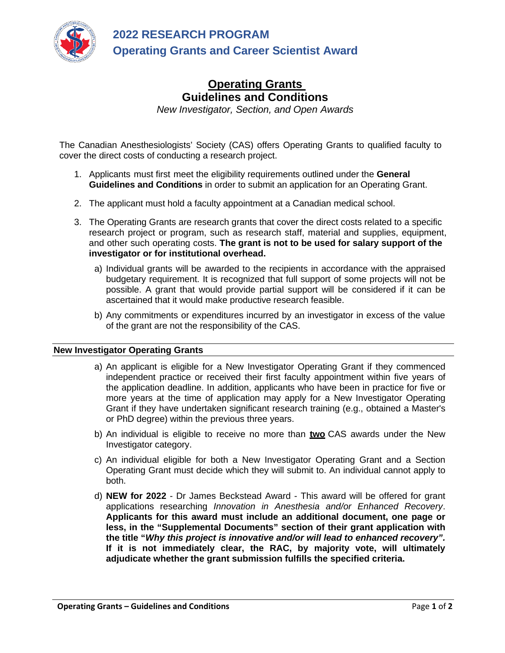

## **Operating Grants Guidelines and Conditions**

*New Investigator, Section, and Open Awards*

The Canadian Anesthesiologists' Society (CAS) offers Operating Grants to qualified faculty to cover the direct costs of conducting a research project.

- 1. Applicants must first meet the eligibility requirements outlined under the **General Guidelines and Conditions** in order to submit an application for an Operating Grant.
- 2. The applicant must hold a faculty appointment at a Canadian medical school.
- 3. The Operating Grants are research grants that cover the direct costs related to a specific research project or program, such as research staff, material and supplies, equipment, and other such operating costs. **The grant is not to be used for salary support of the investigator or for institutional overhead.**
	- a) Individual grants will be awarded to the recipients in accordance with the appraised budgetary requirement. It is recognized that full support of some projects will not be possible. A grant that would provide partial support will be considered if it can be ascertained that it would make productive research feasible.
	- b) Any commitments or expenditures incurred by an investigator in excess of the value of the grant are not the responsibility of the CAS.

## **New Investigator Operating Grants**

- a) An applicant is eligible for a New Investigator Operating Grant if they commenced independent practice or received their first faculty appointment within five years of the application deadline. In addition, applicants who have been in practice for five or more years at the time of application may apply for a New Investigator Operating Grant if they have undertaken significant research training (e.g., obtained a Master's or PhD degree) within the previous three years.
- b) An individual is eligible to receive no more than **two** CAS awards under the New Investigator category.
- c) An individual eligible for both a New Investigator Operating Grant and a Section Operating Grant must decide which they will submit to. An individual cannot apply to both.
- d) **NEW for 2022** Dr James Beckstead Award This award will be offered for grant applications researching *Innovation in Anesthesia and/or Enhanced Recovery*. **Applicants for this award must include an additional document, one page or less, in the "Supplemental Documents" section of their grant application with the title "***Why this project is innovative and/or will lead to enhanced recovery".* **If it is not immediately clear, the RAC, by majority vote, will ultimately adjudicate whether the grant submission fulfills the specified criteria.**